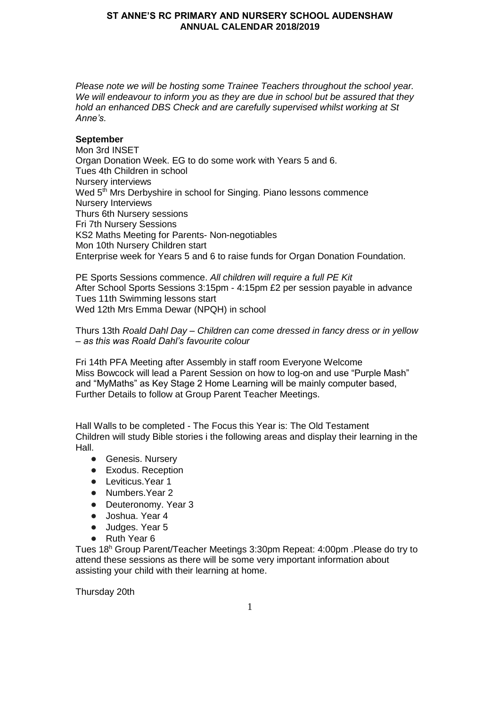*Please note we will be hosting some Trainee Teachers throughout the school year. We will endeavour to inform you as they are due in school but be assured that they hold an enhanced DBS Check and are carefully supervised whilst working at St Anne's.*

# **September**

Mon 3rd INSET Organ Donation Week. EG to do some work with Years 5 and 6. Tues 4th Children in school Nursery interviews Wed 5<sup>th</sup> Mrs Derbyshire in school for Singing. Piano lessons commence Nursery Interviews Thurs 6th Nursery sessions Fri 7th Nursery Sessions KS2 Maths Meeting for Parents- Non-negotiables Mon 10th Nursery Children start Enterprise week for Years 5 and 6 to raise funds for Organ Donation Foundation.

PE Sports Sessions commence. *All children will require a full PE Kit*  After School Sports Sessions 3:15pm - 4:15pm £2 per session payable in advance Tues 11th Swimming lessons start Wed 12th Mrs Emma Dewar (NPQH) in school

Thurs 13th *Roald Dahl Day – Children can come dressed in fancy dress or in yellow – as this was Roald Dahl's favourite colour*

Fri 14th PFA Meeting after Assembly in staff room Everyone Welcome Miss Bowcock will lead a Parent Session on how to log-on and use "Purple Mash" and "MyMaths" as Key Stage 2 Home Learning will be mainly computer based, Further Details to follow at Group Parent Teacher Meetings.

Hall Walls to be completed - The Focus this Year is: The Old Testament Children will study Bible stories i the following areas and display their learning in the Hall.

- Genesis. Nursery
- Exodus. Reception
- Leviticus. Year 1
- Numbers.Year 2
- Deuteronomy. Year 3
- Joshua. Year 4
- Judges. Year 5
- Ruth Year 6

Tues 18<sup>h</sup> Group Parent/Teacher Meetings 3:30pm Repeat: 4:00pm .Please do try to attend these sessions as there will be some very important information about assisting your child with their learning at home.

Thursday 20th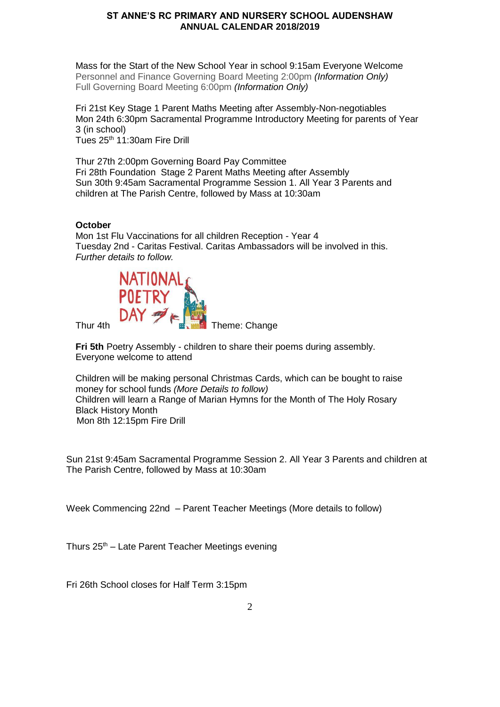Mass for the Start of the New School Year in school 9:15am Everyone Welcome Personnel and Finance Governing Board Meeting 2:00pm *(Information Only)* Full Governing Board Meeting 6:00pm *(Information Only)*

Fri 21st Key Stage 1 Parent Maths Meeting after Assembly-Non-negotiables Mon 24th 6:30pm Sacramental Programme Introductory Meeting for parents of Year 3 (in school) Tues 25<sup>th</sup> 11:30am Fire Drill

Thur 27th 2:00pm Governing Board Pay Committee Fri 28th Foundation Stage 2 Parent Maths Meeting after Assembly Sun 30th 9:45am Sacramental Programme Session 1. All Year 3 Parents and children at The Parish Centre, followed by Mass at 10:30am

# **October**

Mon 1st Flu Vaccinations for all children Reception - Year 4 Tuesday 2nd - Caritas Festival. Caritas Ambassadors will be involved in this. *Further details to follow.*



**Fri 5th Poetry Assembly - children to share their poems during assembly.** Everyone welcome to attend

Children will be making personal Christmas Cards, which can be bought to raise money for school funds *(More Details to follow)* Children will learn a Range of Marian Hymns for the Month of The Holy Rosary Black History Mont[h](https://www.blackhistorymonth.org.uk/article/section/bhm-heroes/4181/#respond) Mon 8th 12:15pm Fire Drill

Sun 21st 9:45am Sacramental Programme Session 2. All Year 3 Parents and children at The Parish Centre, followed by Mass at 10:30am

Week Commencing 22nd – Parent Teacher Meetings (More details to follow)

Thurs  $25<sup>th</sup>$  – Late Parent Teacher Meetings evening

Fri 26th School closes for Half Term 3:15pm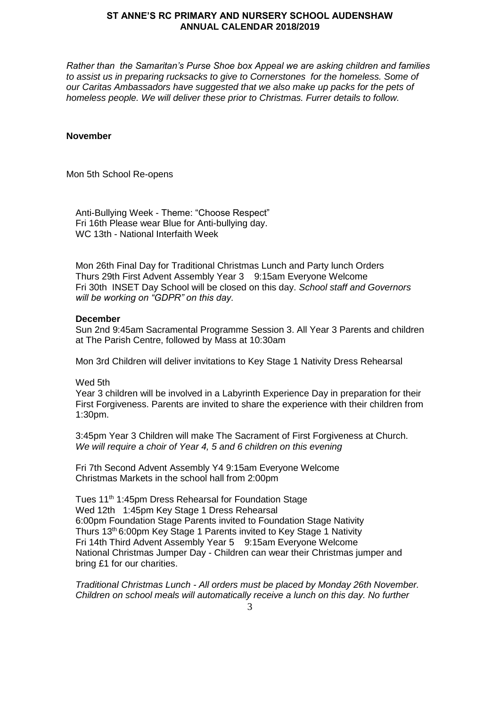*Rather than the Samaritan's Purse Shoe box Appeal we are asking children and families to assist us in preparing rucksacks to give to Cornerstones for the homeless. Some of our Caritas Ambassadors have suggested that we also make up packs for the pets of homeless people. We will deliver these prior to Christmas. Furrer details to follow.*

# **November**

Mon 5th School Re-opens

Anti-Bullying Week - Theme: "Choose Respect" Fri 16th Please wear Blue for Anti-bullying day. WC 13th - National Interfaith Week

Mon 26th Final Day for Traditional Christmas Lunch and Party lunch Orders Thurs 29th First Advent Assembly Year 3 9:15am Everyone Welcome Fri 30th INSET Day School will be closed on this day. *School staff and Governors will be working on "GDPR" on this day.*

### **December**

Sun 2nd 9:45am Sacramental Programme Session 3. All Year 3 Parents and children at The Parish Centre, followed by Mass at 10:30am

Mon 3rd Children will deliver invitations to Key Stage 1 Nativity Dress Rehearsal

Wed 5th

Year 3 children will be involved in a Labyrinth Experience Day in preparation for their First Forgiveness. Parents are invited to share the experience with their children from 1:30pm.

3:45pm Year 3 Children will make The Sacrament of First Forgiveness at Church. *We will require a choir of Year 4, 5 and 6 children on this evening* 

Fri 7th Second Advent Assembly Y4 9:15am Everyone Welcome Christmas Markets in the school hall from 2:00pm

Tues 11<sup>th</sup> 1:45pm Dress Rehearsal for Foundation Stage Wed 12th 1:45pm Key Stage 1 Dress Rehearsal 6:00pm Foundation Stage Parents invited to Foundation Stage Nativity Thurs 13th 6:00pm Key Stage 1 Parents invited to Key Stage 1 Nativity Fri 14th Third Advent Assembly Year 5 9:15am Everyone Welcome National Christmas Jumper Day - Children can wear their Christmas jumper and bring £1 for our charities.

*Traditional Christmas Lunch - All orders must be placed by Monday 26th November. Children on school meals will automatically receive a lunch on this day. No further*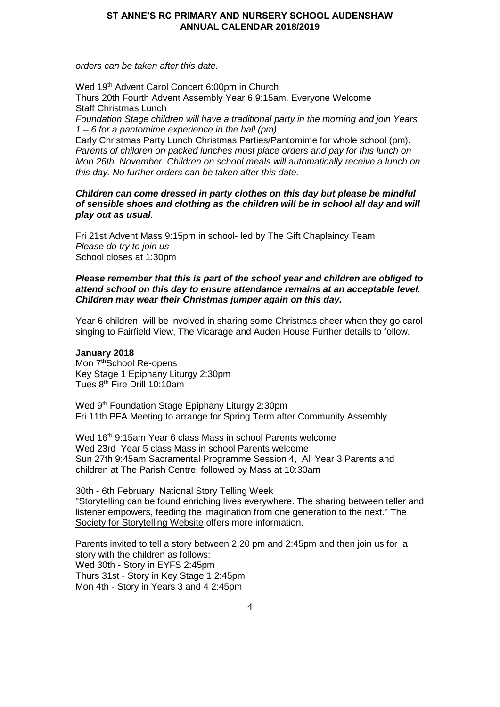*orders can be taken after this date.* 

Wed 19<sup>th</sup> Advent Carol Concert 6:00pm in Church Thurs 20th Fourth Advent Assembly Year 6 9:15am. Everyone Welcome Staff Christmas Lunch *Foundation Stage children will have a traditional party in the morning and join Years 1 – 6 for a pantomime experience in the hall (pm)* Early Christmas Party Lunch Christmas Parties/Pantomime for whole school (pm). *Parents of children on packed lunches must place orders and pay for this lunch on Mon 26th November. Children on school meals will automatically receive a lunch on* 

*Children can come dressed in party clothes on this day but please be mindful of sensible shoes and clothing as the children will be in school all day and will play out as usual.*

Fri 21st Advent Mass 9:15pm in school- led by The Gift Chaplaincy Team *Please do try to join us*  School closes at 1:30pm

*this day. No further orders can be taken after this date.* 

### *Please remember that this is part of the school year and children are obliged to attend school on this day to ensure attendance remains at an acceptable level. Children may wear their Christmas jumper again on this day.*

Year 6 children will be involved in sharing some Christmas cheer when they go carol singing to Fairfield View, The Vicarage and Auden House.Further details to follow.

#### **January 2018**

Mon 7<sup>th</sup>School Re-opens Key Stage 1 Epiphany Liturgy 2:30pm Tues 8th Fire Drill 10:10am

Wed 9<sup>th</sup> Foundation Stage Epiphany Liturgy 2:30pm Fri 11th PFA Meeting to arrange for Spring Term after Community Assembly

Wed 16<sup>th</sup> 9:15am Year 6 class Mass in school Parents welcome Wed 23rd Year 5 class Mass in school Parents welcome Sun 27th 9:45am Sacramental Programme Session 4, All Year 3 Parents and children at The Parish Centre, followed by Mass at 10:30am

30th - 6th February National Story Telling Week "Storytelling can be found enriching lives everywhere. The sharing between teller and listener empowers, feeding the imagination from one generation to the next." The [Society for Storytelling Website](http://www.sfs.org.uk/) offers more information.

Parents invited to tell a story between 2.20 pm and 2:45pm and then join us for a story with the children as follows: Wed 30th - Story in EYFS 2:45pm Thurs 31st - Story in Key Stage 1 2:45pm Mon 4th - Story in Years 3 and 4 2:45pm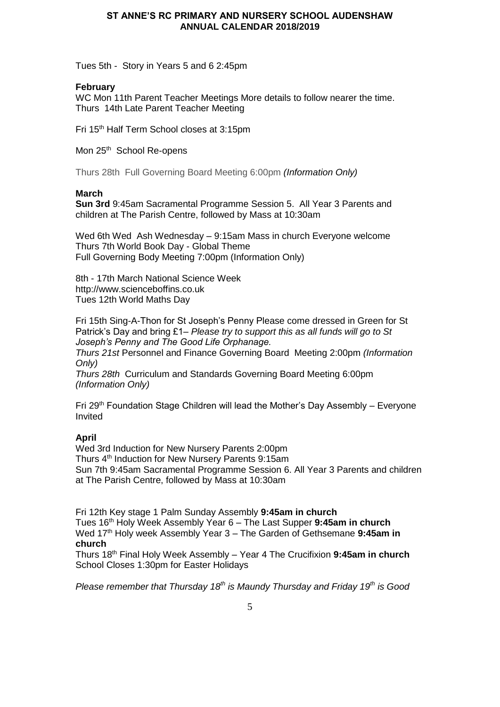Tues 5th - Story in Years 5 and 6 2:45pm

### **February**

WC Mon 11th Parent Teacher Meetings More details to follow nearer the time. Thurs 14th Late Parent Teacher Meeting

Fri 15th Half Term School closes at 3:15pm

Mon 25<sup>th</sup> School Re-opens

Thurs 28th Full Governing Board Meeting 6:00pm *(Information Only)*

### **March**

**Sun 3rd** 9:45am Sacramental Programme Session 5. All Year 3 Parents and children at The Parish Centre, followed by Mass at 10:30am

Wed 6th Wed Ash Wednesday – 9:15am Mass in church Everyone welcome Thurs 7th World Book Day - Global Theme Full Governing Body Meeting 7:00pm (Information Only)

8th - 17th March National Science Week http://www.scienceboffins.co.uk Tues 12th World Maths Day

Fri 15th Sing-A-Thon for St Joseph's Penny Please come dressed in Green for St Patrick's Day and bring £1*– Please try to support this as all funds will go to St Joseph's Penny and The Good Life Orphanage.*

*Thurs 21st* Personnel and Finance Governing Board Meeting 2:00pm *(Information Only)*

*Thurs 28th* Curriculum and Standards Governing Board Meeting 6:00pm *(Information Only)*

Fri 29<sup>th</sup> Foundation Stage Children will lead the Mother's Day Assembly – Everyone Invited

# **April**

Wed 3rd Induction for New Nursery Parents 2:00pm Thurs 4<sup>th</sup> Induction for New Nursery Parents 9:15am Sun 7th 9:45am Sacramental Programme Session 6. All Year 3 Parents and children at The Parish Centre, followed by Mass at 10:30am

Fri 12th Key stage 1 Palm Sunday Assembly **9:45am in church** Tues 16th Holy Week Assembly Year 6 – The Last Supper **9:45am in church** Wed 17<sup>th</sup> Holy week Assembly Year 3 – The Garden of Gethsemane 9:45am in **church**

Thurs 18th Final Holy Week Assembly – Year 4 The Crucifixion **9:45am in church** School Closes 1:30pm for Easter Holidays

*Please remember that Thursday 18th is Maundy Thursday and Friday 19th is Good*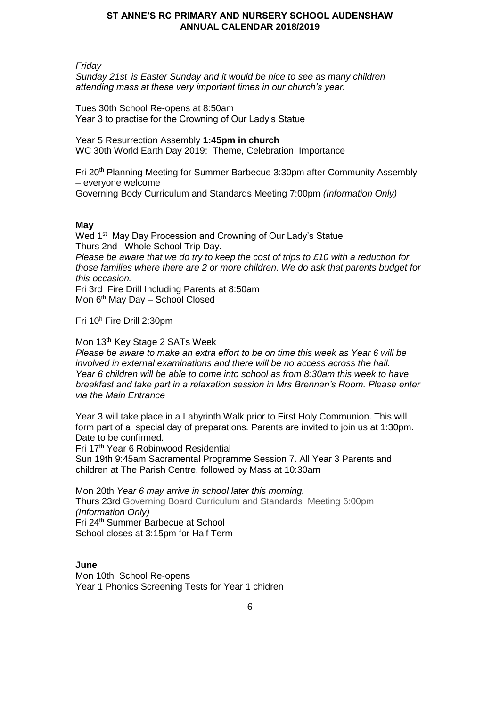*Friday*

*Sunday 21st is Easter Sunday and it would be nice to see as many children attending mass at these very important times in our church's year.*

Tues 30th School Re-opens at 8:50am Year 3 to practise for the Crowning of Our Lady's Statue

Year 5 Resurrection Assembly **1:45pm in church** WC 30th World Earth Day 2019: Theme, Celebration, Importance

Fri 20th Planning Meeting for Summer Barbecue 3:30pm after Community Assembly – everyone welcome Governing Body Curriculum and Standards Meeting 7:00pm *(Information Only)*

# **May**

Wed 1<sup>st</sup> May Day Procession and Crowning of Our Lady's Statue Thurs 2nd Whole School Trip Day. *Please be aware that we do try to keep the cost of trips to £10 with a reduction for those families where there are 2 or more children. We do ask that parents budget for this occasion.* Fri 3rd Fire Drill Including Parents at 8:50am

Mon 6<sup>th</sup> May Day - School Closed

Fri 10<sup>h</sup> Fire Drill 2:30pm

Mon 13<sup>th</sup> Key Stage 2 SATs Week

*Please be aware to make an extra effort to be on time this week as Year 6 will be involved in external examinations and there will be no access across the hall. Year 6 children will be able to come into school as from 8:30am this week to have breakfast and take part in a relaxation session in Mrs Brennan's Room. Please enter via the Main Entrance*

Year 3 will take place in a Labyrinth Walk prior to First Holy Communion. This will form part of a special day of preparations. Parents are invited to join us at 1:30pm. Date to be confirmed.

Fri 17th Year 6 Robinwood Residential

Sun 19th 9:45am Sacramental Programme Session 7. All Year 3 Parents and children at The Parish Centre, followed by Mass at 10:30am

Mon 20th *Year 6 may arrive in school later this morning.* Thurs 23rd Governing Board Curriculum and Standards Meeting 6:00pm *(Information Only)* Fri 24th Summer Barbecue at School School closes at 3:15pm for Half Term

**June** Mon 10th School Re-opens Year 1 Phonics Screening Tests for Year 1 chidren